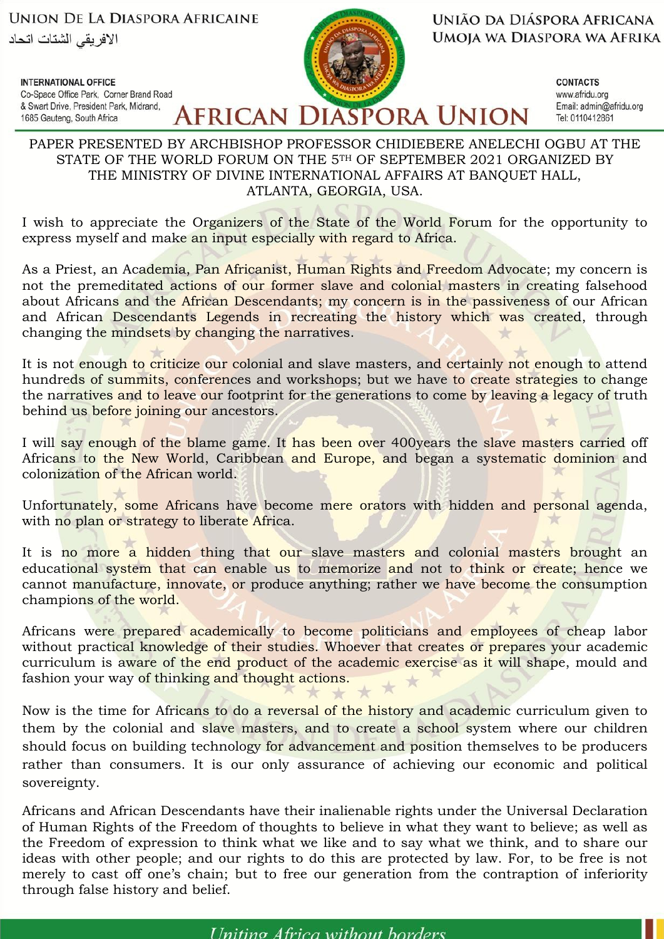**UNION DE LA DIASPORA AFRICAINE** الافر بقى الشتات اتحاد

Co-Space Office Park. Corner Brand Road

& Swart Drive, President Park, Midrand,

**INTERNATIONAL OFFICE** 

1685 Gauteng, South Africa

**AFRICAN DIASPORA UNION** 

UNIÃO DA DIÁSPORA AFRICANA UMOIA WA DIASPORA WA AFRIKA

> **CONTACTS** www.afridu.org Email: admin@afridu.org Tel: 0110412861

## PAPER PRESENTED BY ARCHBISHOP PROFESSOR CHIDIEBERE ANELECHI OGBU AT THE STATE OF THE WORLD FORUM ON THE 5TH OF SEPTEMBER 2021 ORGANIZED BY THE MINISTRY OF DIVINE INTERNATIONAL AFFAIRS AT BANQUET HALL, ATLANTA, GEORGIA, USA.

I wish to appreciate the Organizers of the State of the World Forum for the opportunity to express myself and make an input especially with regard to Africa.

As a Priest, an Academia, Pan Africanist, Human Rights and Freedom Advocate; my concern is not the premeditated actions of our former slave and colonial masters in creating falsehood about Africans and the African Descendants; my concern is in the passiveness of our African and African Descendants Legends in recreating the history which was created, through changing the mindsets by changing the narratives.

It is not enough to criticize our colonial and slave masters, and certainly not enough to attend hundreds of summits, conferences and workshops; but we have to create strategies to change the narratives and to leave our footprint for the generations to come by leaving a legacy of truth behind us before joining our ancestors.

I will say enough of the blame game. It has been over 400 years the slave masters carried off Africans to the New World, Caribbean and Europe, and began a systematic dominion and colonization of the African world.

Unfortunately, some Africans have become mere orators with hidden and personal agenda, with no plan or strategy to liberate Africa.

It is no more a hidden thing that our slave masters and colonial masters brought an educational system that can enable us to memorize and not to think or create; hence we cannot manufacture, innovate, or produce anything; rather we have become the consumption champions of the world.

Africans were prepared academically to become politicians and employees of cheap labor without practical knowledge of their studies. Whoever that creates or prepares your academic curriculum is aware of the end product of the academic exercise as it will shape, mould and fashion your way of thinking and thought actions.

Now is the time for Africans to do a reversal of the history and academic curriculum given to them by the colonial and slave masters, and to create a school system where our children should focus on building technology for advancement and position themselves to be producers rather than consumers. It is our only assurance of achieving our economic and political sovereignty.

Africans and African Descendants have their inalienable rights under the Universal Declaration of Human Rights of the Freedom of thoughts to believe in what they want to believe; as well as the Freedom of expression to think what we like and to say what we think, and to share our ideas with other people; and our rights to do this are protected by law. For, to be free is not merely to cast off one's chain; but to free our generation from the contraption of inferiority through false history and belief.

*Uniting Africa without horders*